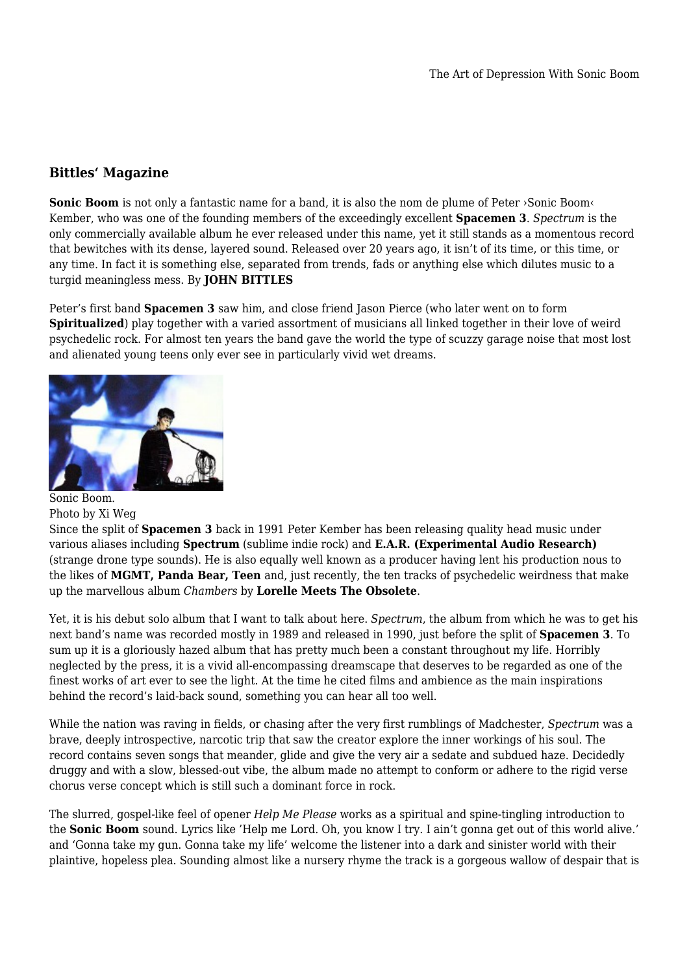## **Bittles' Magazine**

**Sonic Boom** is not only a fantastic name for a band, it is also the nom de plume of Peter ›Sonic Boom‹ Kember, who was one of the founding members of the exceedingly excellent **Spacemen 3**. *Spectrum* is the only commercially available album he ever released under this name, yet it still stands as a momentous record that bewitches with its dense, layered sound. Released over 20 years ago, it isn't of its time, or this time, or any time. In fact it is something else, separated from trends, fads or anything else which dilutes music to a turgid meaningless mess. By **JOHN BITTLES**

Peter's first band **Spacemen 3** saw him, and close friend Jason Pierce (who later went on to form **Spiritualized**) play together with a varied assortment of musicians all linked together in their love of weird psychedelic rock. For almost ten years the band gave the world the type of scuzzy garage noise that most lost and alienated young teens only ever see in particularly vivid wet dreams.



## Sonic Boom. Photo by Xi Weg

Since the split of **Spacemen 3** back in 1991 Peter Kember has been releasing quality head music under various aliases including **Spectrum** (sublime indie rock) and **E.A.R. (Experimental Audio Research)** (strange drone type sounds). He is also equally well known as a producer having lent his production nous to the likes of **MGMT, Panda Bear, Teen** and, just recently, the ten tracks of psychedelic weirdness that make up the marvellous album *Chambers* by **Lorelle Meets The Obsolete**.

Yet, it is his debut solo album that I want to talk about here. *Spectrum*, the album from which he was to get his next band's name was recorded mostly in 1989 and released in 1990, just before the split of **Spacemen 3***.* To sum up it is a gloriously hazed album that has pretty much been a constant throughout my life. Horribly neglected by the press, it is a vivid all-encompassing dreamscape that deserves to be regarded as one of the finest works of art ever to see the light. At the time he cited films and ambience as the main inspirations behind the record's laid-back sound, something you can hear all too well.

While the nation was raving in fields, or chasing after the very first rumblings of Madchester, *Spectrum* was a brave, deeply introspective, narcotic trip that saw the creator explore the inner workings of his soul. The record contains seven songs that meander, glide and give the very air a sedate and subdued haze. Decidedly druggy and with a slow, blessed-out vibe, the album made no attempt to conform or adhere to the rigid verse chorus verse concept which is still such a dominant force in rock.

The slurred, gospel-like feel of opener *Help Me Please* works as a spiritual and spine-tingling introduction to the **Sonic Boom** sound. Lyrics like 'Help me Lord. Oh, you know I try. I ain't gonna get out of this world alive.' and 'Gonna take my gun. Gonna take my life' welcome the listener into a dark and sinister world with their plaintive, hopeless plea. Sounding almost like a nursery rhyme the track is a gorgeous wallow of despair that is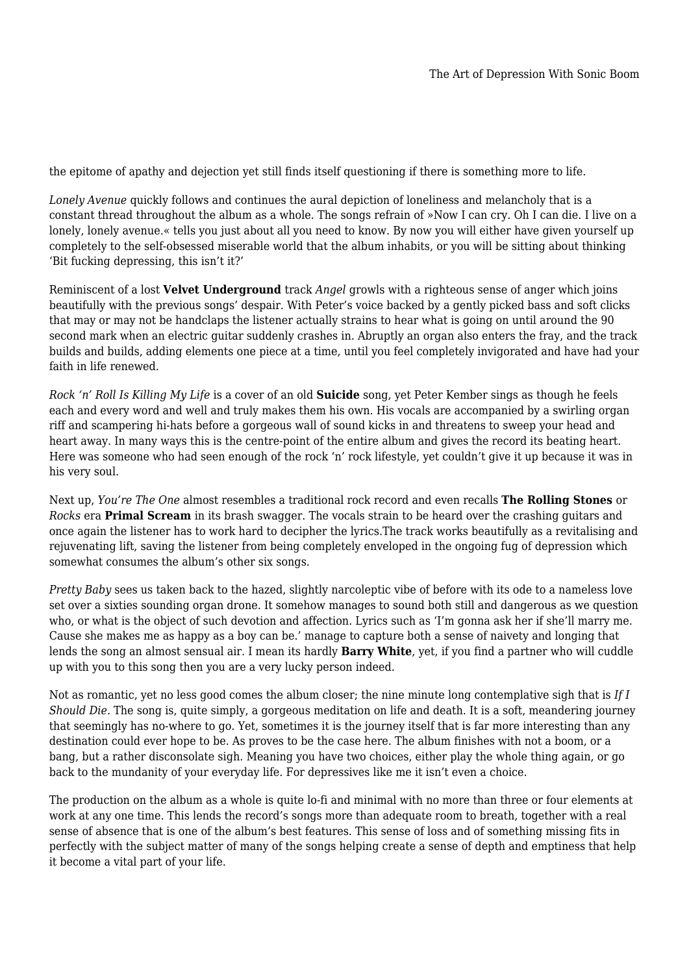the epitome of apathy and dejection yet still finds itself questioning if there is something more to life.

*Lonely Avenue* quickly follows and continues the aural depiction of loneliness and melancholy that is a constant thread throughout the album as a whole. The songs refrain of »Now I can cry. Oh I can die. I live on a lonely, lonely avenue.« tells you just about all you need to know. By now you will either have given yourself up completely to the self-obsessed miserable world that the album inhabits, or you will be sitting about thinking 'Bit fucking depressing, this isn't it?'

Reminiscent of a lost **Velvet Underground** track *Angel* growls with a righteous sense of anger which joins beautifully with the previous songs' despair. With Peter's voice backed by a gently picked bass and soft clicks that may or may not be handclaps the listener actually strains to hear what is going on until around the 90 second mark when an electric guitar suddenly crashes in. Abruptly an organ also enters the fray, and the track builds and builds, adding elements one piece at a time, until you feel completely invigorated and have had your faith in life renewed.

*Rock 'n' Roll Is Killing My Life* is a cover of an old **Suicide** song, yet Peter Kember sings as though he feels each and every word and well and truly makes them his own. His vocals are accompanied by a swirling organ riff and scampering hi-hats before a gorgeous wall of sound kicks in and threatens to sweep your head and heart away. In many ways this is the centre-point of the entire album and gives the record its beating heart. Here was someone who had seen enough of the rock 'n' rock lifestyle, yet couldn't give it up because it was in his very soul.

Next up, *You're The One* almost resembles a traditional rock record and even recalls **The Rolling Stones** or *Rocks* era **Primal Scream** in its brash swagger. The vocals strain to be heard over the crashing guitars and once again the listener has to work hard to decipher the lyrics.The track works beautifully as a revitalising and rejuvenating lift, saving the listener from being completely enveloped in the ongoing fug of depression which somewhat consumes the album's other six songs.

*Pretty Baby* sees us taken back to the hazed, slightly narcoleptic vibe of before with its ode to a nameless love set over a sixties sounding organ drone. It somehow manages to sound both still and dangerous as we question who, or what is the object of such devotion and affection. Lyrics such as 'I'm gonna ask her if she'll marry me. Cause she makes me as happy as a boy can be.' manage to capture both a sense of naivety and longing that lends the song an almost sensual air. I mean its hardly **Barry White**, yet, if you find a partner who will cuddle up with you to this song then you are a very lucky person indeed.

Not as romantic, yet no less good comes the album closer; the nine minute long contemplative sigh that is *If I Should Die.* The song is, quite simply, a gorgeous meditation on life and death. It is a soft, meandering journey that seemingly has no-where to go. Yet, sometimes it is the journey itself that is far more interesting than any destination could ever hope to be. As proves to be the case here. The album finishes with not a boom, or a bang, but a rather disconsolate sigh. Meaning you have two choices, either play the whole thing again, or go back to the mundanity of your everyday life. For depressives like me it isn't even a choice.

The production on the album as a whole is quite lo-fi and minimal with no more than three or four elements at work at any one time. This lends the record's songs more than adequate room to breath, together with a real sense of absence that is one of the album's best features. This sense of loss and of something missing fits in perfectly with the subject matter of many of the songs helping create a sense of depth and emptiness that help it become a vital part of your life.